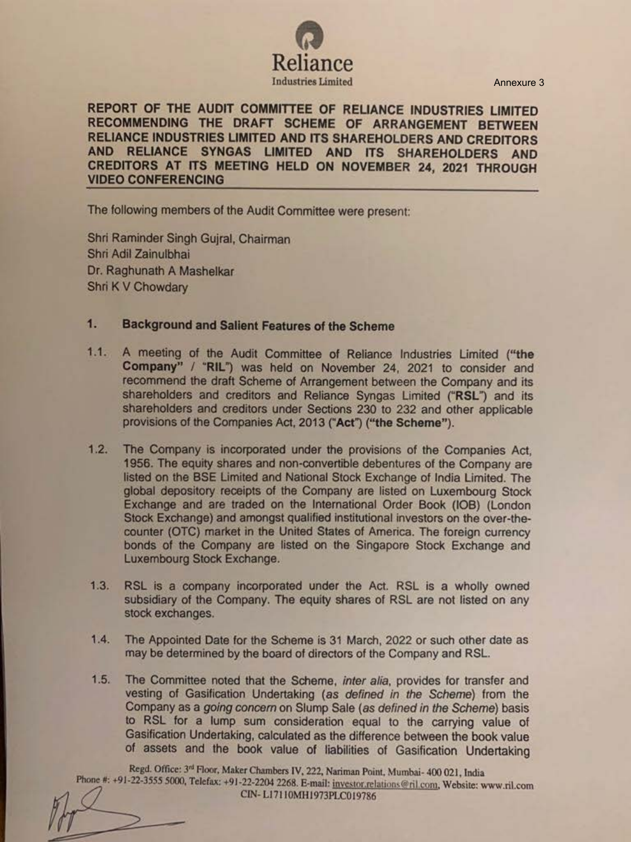

Annexure 3

**REPORT OF** THE **AUDIT COMMITTEE OF RELIANCE INDUSTRIES LIMITED RECOMMENDING THE DRAFT SCHEME OF ARRANGEMENT BETWEEN RELIANCE INDUSTRIES LIMITED AND ITS SHAREHOLDERS AND CREDITORS AND RELIANCE SYNGAS LIMITED AND ITS SHAREHOLDERS AND CREDITORS AT ITS MEETING** HELD **ON NOVEMBER 24, 2021 THROUGH VIDEO CONFERENCING** 

The following members of the Audit Committee were present:

Shri Raminder Singh Gujral, Chairman Shri Adil Zainulbhai Dr. Raghunath A Mashelkar Shri K V Chowdary

## 1. Background and Salient Features of the Scheme

- 1.1. A meeting of the Audit Committee of Reliance Industries Limited ("the Company" / "RIL") was held on November 24, 2021 to consider and recommend the draft Scheme of Arrangement between the Company and its shareholders and creditors and Reliance Syngas Limited ("RSL") and its shareholders and creditors under Sections 230 to 232 and other applicable provisions of the Companies Act, 2013 (" **Act") ("the Scheme").**
- 1 .2. The Company is incorporated under the provisions of the Companies Act, 1956. The equity shares and non-convertible debentures of the Company are listed on the BSE Limited and National Stock Exchange of India Limited. The global depository receipts of the Company are listed on Luxembourg Stock Exchange and are traded on the International Order Book (108) (London Stock Exchange) and amongst qualified institutional investors on the over-thecounter (OTC) market in the United States of America. The foreign currency bonds of the Company are listed on the Singapore Stock Exchange and Luxembourg Stock Exchange.
- 1.3. RSL is a company incorporated under the Act. RSL is a wholly owned subsidiary of the Company. The equity shares of RSL are not listed on any stock exchanges.
- 1.4. The Appointed Date for the Scheme is 31 March, 2022 or such other date as may be determined by the board of directors of the Company and RSL.
- 1.5. The Committee noted that the Scheme, inter alia, provides for transfer and vesting of Gasification Undertaking (as defined in the Scheme) from the Company as a going concern on Slump Sale (as defined in the Scheme) basis to RSL for a lump sum consideration equal to the carrying value of Gasification Undertaking, calculated as the difference between the book value of assets and the book value of liabilities of Gasification Undertaking

Regd. Office: 3<sup>rd</sup> Floor, Maker Chambers IV, 222, Nariman Point, Mumbai- 400 021, India Phone #: +91-22-3555 5000, Telefax; +91-22-2204 2268. E-mail: investor.relations@ril.com, Website: www.ril.com CIN- Ll7110MH1973PLC019786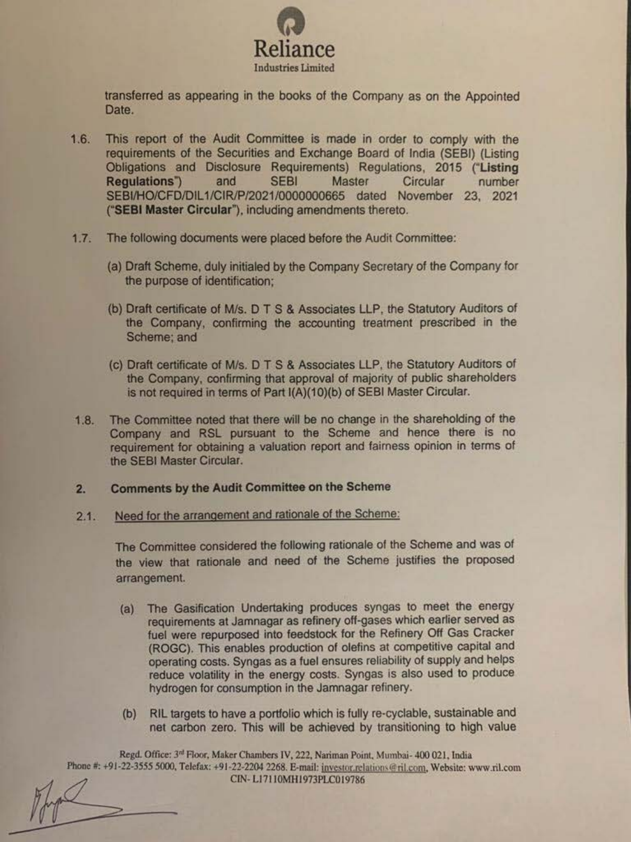

transferred as appearing in the books of the Company as on the Appointed Date.

- 1.6. This report of the Audit Committee is made in order to comply with the requirements of the Securities and Exchange Board of India (SEBI) (Listing Obligations and Disclosure Requirements) Regulations, 2015 ('Listing **Regulations')** and SEBI Master Circular number SEBI/HO/CFD/DIL 1/CIR/P/2021/0000000665 dated November 23, 2021 **("SEBI Master Circular"),** including amendments thereto.
- 1.7. The following documents were placed before the Audit Committee:
	- (a) Draft Scheme, duly initialed by the Company Secretary of the Company for the purpose of identification;
	- {b) Draft certificate of Mis. D TS & Associates LLP, the Statutory Auditors of the Company, confirming the accounting treatment prescribed in the Scheme; and
	- (c) Draft certificate of Mis. D T S & Associates LLP, the Statutory Auditors of the Company, confirming that approval of majority of public shareholders is not required in terms of Part l(A)(10)(b) of SEBI Master Circular.
- 1.8. The Committee noted that there will be no change in the shareholding of the Company and RSL pursuant to the Scheme and hence there is no requirement for obtaining a valuation report and fairness opinion in terms of the SEBI Master Circular.

## 2. Comments by the Audit Committee on the Scheme

2.1. Need for the arrangement and rationale of the Scheme:

The Committee considered the following rationale of the Scheme and was of the view that rationale and need of the Scheme justifies the proposed arrangement.

- (a) The Gasification Undertaking produces syngas to meet the energy requirements at Jamnagar as refinery off-gases which eartier served as fuel were repurposed into feedstock for the Refinery Off Gas Cracker (ROGC). This enables production of olefins at competitive capital and operating costs. Syngas as a fuel ensures reliability of supply and helps reduce volatility in the energy costs. Syngas is also used to produce hydrogen for consumption in the Jamnagar refinery.
- (b) RIL targets to have a portfolio which is fully re-cyclable, sustainable and net carbon zero. This will be achieved by transitioning to high value

Regd. Office: 3<sup>rd</sup> Floor, Maker Chambers IV, 222, Nariman Point, Mumbai- 400 021, India Phone #: +91-22-3555 5000, Telefax: +91-22-2204 2268. E-mail: jnvestor.relations@ril.com. Website: www.ril.com CIN- Ll71 I0MHl973PLCOl9786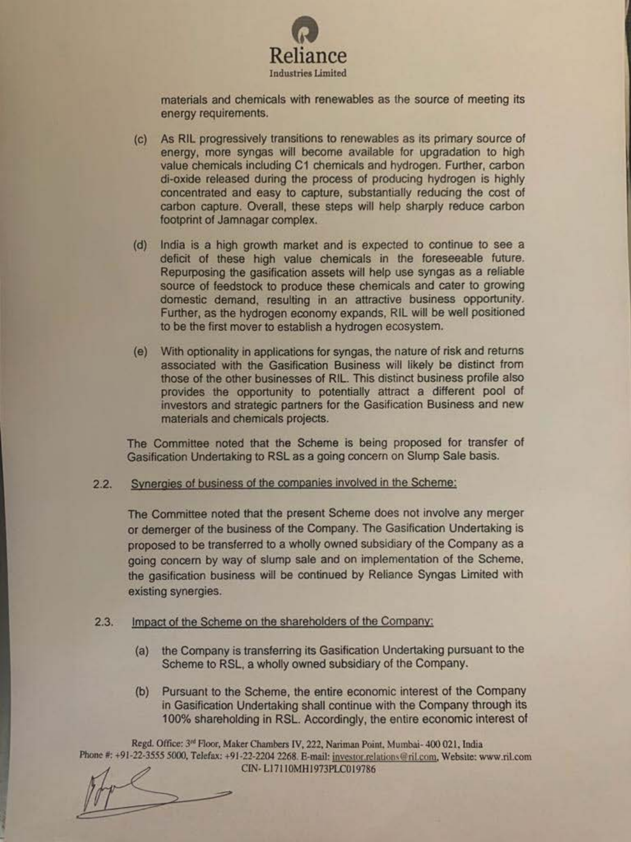

materials and chemicals with renewables as the source of meeting its energy requirements.

- (c) As RIL progressively transttions to renewables as its primary source of energy, more syngas will become available for upgradation to high value chemicals including C1 chemicals and hydrogen. Further, carbon di-oxide released during the process of producing hydrogen is highly concentrated and easy to capture, substantially reducing the cost of carbon capture. Overall, these steps will help sharply reduce carbon footprint of Jamnagar complex.
- (d) India is a high growth market and is expected to continue to see a deficit of these high value chemicals in the foreseeable future. Repurposing the gasification assets will help use syngas as a reliable source of feedstock to produce these chemicals and cater to growing domestic demand, resulting in an attractive business opportunity. Further, as the hydrogen economy expands, RIL will be well positioned to be the first mover to establish a hydrogen ecosystem.
- (e) With optionality in applications for syngas, the nature of risk and returns associated with the Gasification Business will likely be distinct from those of the other businesses of RIL. This distinct business profile also provides the opportunity to potentially attract a different pool of investors and strategic partners for the Gasification Business and new materials and chemicals projects.

The Committee noted that the Scheme is being proposed tor transfer of Gasification Undertaking to RSL as a going concern on Slump Sale basis.

2.2. Synergies of business of the companies involved in the Scheme:

The Committee noted that the present Scheme does not involve any merger or demerger of the business of the Company. The Gasification Undertaking is proposed to be transferred to a wholly owned subsidiary of the Company as a going concern by way of slump sale and on implementation of the Scheme, the gasification business will be continued by Reliance Syngas Limited with existing synergies.

- 2.3. Impact of the Scheme on the shareholders of the Company:
	- (a) the Company is transferring its Gasification Undertaking pursuant to the Scheme to RSL, a wholly owned subsidiary of the Company.
	- (b) Pursuant to the Scheme, the entire economic interest of the Company in Gasification Undertaking shall continue with the Company through its 100% shareholding in RSL. Accordingly, the entire economic interest of

Regd. Office: 3<sup>rd</sup> Floor, Maker Chambers IV, 222, Nariman Point, Mumbai- 400 021, India Phon< #: +91 -22-3555 5000. Telefu: +91-22-2204 *2268.* &mail: inve,101 rclntion,@rilcom, Website: www.ril.com .::~=- -- :...--= CIN- Ll7110MHl973PLCOJ9786